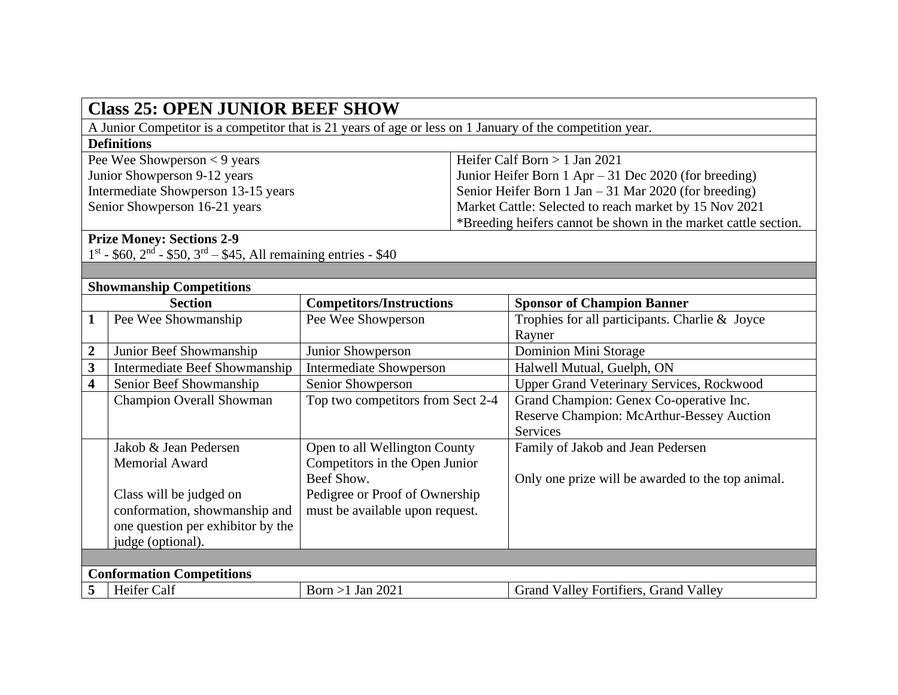| <b>Class 25: OPEN JUNIOR BEEF SHOW</b>                                                                    |                                      |                                   |                                                                 |                                                   |  |  |  |
|-----------------------------------------------------------------------------------------------------------|--------------------------------------|-----------------------------------|-----------------------------------------------------------------|---------------------------------------------------|--|--|--|
| A Junior Competitor is a competitor that is 21 years of age or less on 1 January of the competition year. |                                      |                                   |                                                                 |                                                   |  |  |  |
| <b>Definitions</b>                                                                                        |                                      |                                   |                                                                 |                                                   |  |  |  |
| Pee Wee Showperson $<$ 9 years                                                                            |                                      |                                   |                                                                 | Heifer Calf Born $> 1$ Jan 2021                   |  |  |  |
| Junior Showperson 9-12 years                                                                              |                                      |                                   | Junior Heifer Born $1$ Apr $-31$ Dec 2020 (for breeding)        |                                                   |  |  |  |
| Intermediate Showperson 13-15 years                                                                       |                                      |                                   | Senior Heifer Born 1 Jan - 31 Mar 2020 (for breeding)           |                                                   |  |  |  |
| Senior Showperson 16-21 years                                                                             |                                      |                                   | Market Cattle: Selected to reach market by 15 Nov 2021          |                                                   |  |  |  |
|                                                                                                           |                                      |                                   | *Breeding heifers cannot be shown in the market cattle section. |                                                   |  |  |  |
| <b>Prize Money: Sections 2-9</b>                                                                          |                                      |                                   |                                                                 |                                                   |  |  |  |
| $1^{st}$ - \$60, $2^{nd}$ - \$50, $3^{rd}$ - \$45, All remaining entries - \$40                           |                                      |                                   |                                                                 |                                                   |  |  |  |
|                                                                                                           |                                      |                                   |                                                                 |                                                   |  |  |  |
| <b>Showmanship Competitions</b>                                                                           |                                      |                                   |                                                                 |                                                   |  |  |  |
|                                                                                                           | <b>Section</b>                       | <b>Competitors/Instructions</b>   |                                                                 | <b>Sponsor of Champion Banner</b>                 |  |  |  |
| $\mathbf{1}$                                                                                              | Pee Wee Showmanship                  | Pee Wee Showperson                |                                                                 | Trophies for all participants. Charlie & Joyce    |  |  |  |
|                                                                                                           |                                      |                                   |                                                                 | Rayner                                            |  |  |  |
| $\boldsymbol{2}$                                                                                          | Junior Beef Showmanship              | Junior Showperson                 |                                                                 | Dominion Mini Storage                             |  |  |  |
| $\overline{\mathbf{3}}$                                                                                   | <b>Intermediate Beef Showmanship</b> | <b>Intermediate Showperson</b>    |                                                                 | Halwell Mutual, Guelph, ON                        |  |  |  |
| $\overline{\mathbf{4}}$                                                                                   | Senior Beef Showmanship              | Senior Showperson                 |                                                                 | <b>Upper Grand Veterinary Services, Rockwood</b>  |  |  |  |
|                                                                                                           | <b>Champion Overall Showman</b>      | Top two competitors from Sect 2-4 |                                                                 | Grand Champion: Genex Co-operative Inc.           |  |  |  |
|                                                                                                           |                                      |                                   |                                                                 | Reserve Champion: McArthur-Bessey Auction         |  |  |  |
|                                                                                                           |                                      |                                   |                                                                 | <b>Services</b>                                   |  |  |  |
|                                                                                                           | Jakob & Jean Pedersen                | Open to all Wellington County     |                                                                 | Family of Jakob and Jean Pedersen                 |  |  |  |
|                                                                                                           | <b>Memorial Award</b>                | Competitors in the Open Junior    |                                                                 |                                                   |  |  |  |
|                                                                                                           |                                      | Beef Show.                        |                                                                 | Only one prize will be awarded to the top animal. |  |  |  |
|                                                                                                           | Class will be judged on              | Pedigree or Proof of Ownership    |                                                                 |                                                   |  |  |  |
|                                                                                                           | conformation, showmanship and        | must be available upon request.   |                                                                 |                                                   |  |  |  |
|                                                                                                           | one question per exhibitor by the    |                                   |                                                                 |                                                   |  |  |  |
|                                                                                                           | judge (optional).                    |                                   |                                                                 |                                                   |  |  |  |
|                                                                                                           |                                      |                                   |                                                                 |                                                   |  |  |  |
| <b>Conformation Competitions</b>                                                                          |                                      |                                   |                                                                 |                                                   |  |  |  |
| 5                                                                                                         | Heifer Calf                          | Born $>1$ Jan 2021                |                                                                 | Grand Valley Fortifiers, Grand Valley             |  |  |  |